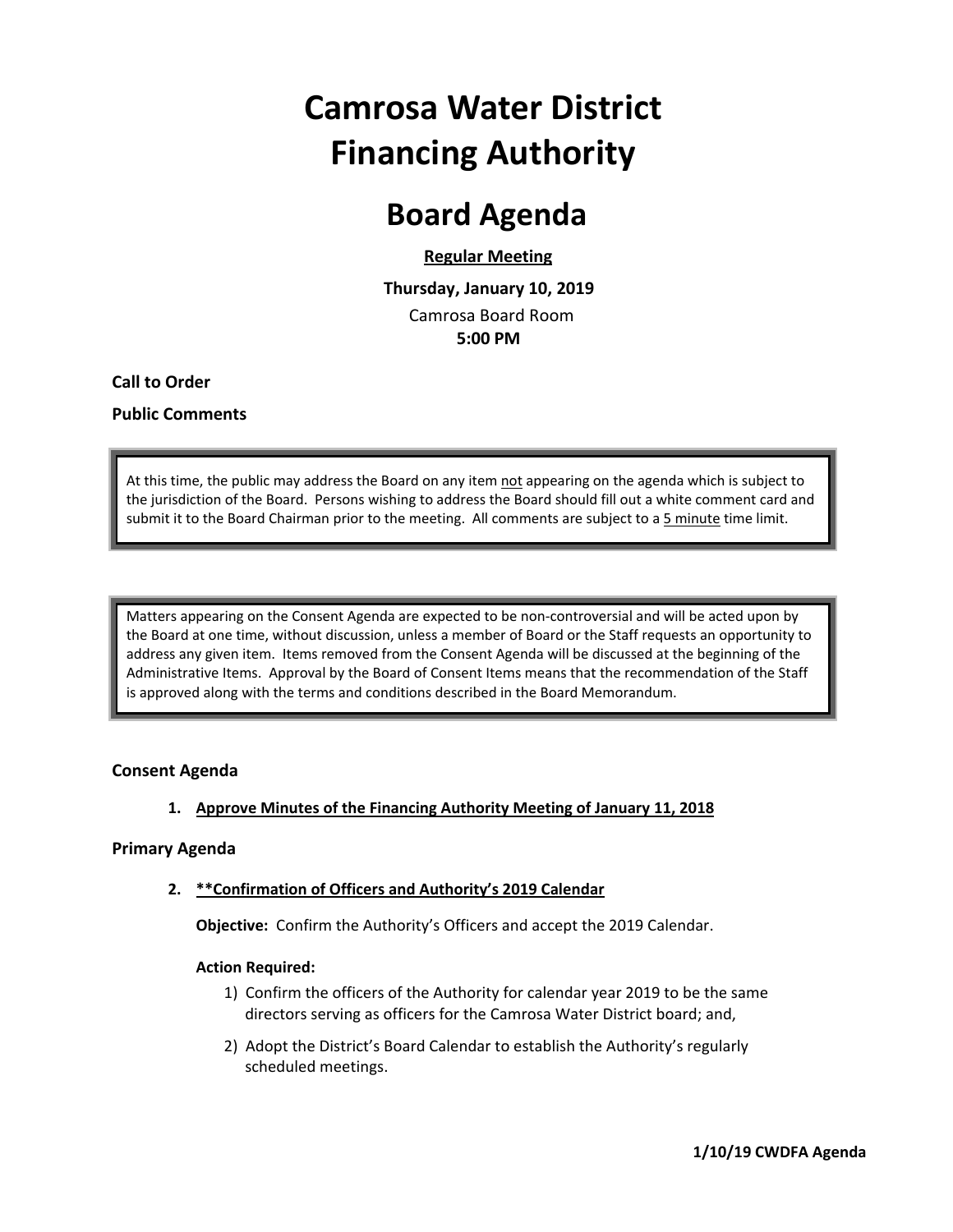# **Camrosa Water District Financing Authority**

### **Board Agenda**

#### **Regular Meeting**

 **Thursday, January 10, 2019** Camrosa Board Room  **5:00 PM**

**Call to Order**

#### **Public Comments**

At this time, the public may address the Board on any item not appearing on the agenda which is subject to the jurisdiction of the Board. Persons wishing to address the Board should fill out a white comment card and submit it to the Board Chairman prior to the meeting. All comments are subject to a 5 minute time limit.

Matters appearing on the Consent Agenda are expected to be non‐controversial and will be acted upon by the Board at one time, without discussion, unless a member of Board or the Staff requests an opportunity to address any given item. Items removed from the Consent Agenda will be discussed at the beginning of the Administrative Items. Approval by the Board of Consent Items means that the recommendation of the Staff is approved along with the terms and conditions described in the Board Memorandum.

#### **Consent Agenda**

#### **1. Approve Minutes of the Financing Authority Meeting of January 11, 2018**

#### **Primary Agenda**

#### **2. \*\*Confirmation of Officers and Authority's 2019 Calendar**

**Objective:** Confirm the Authority's Officers and accept the 2019 Calendar.

#### **Action Required:**

- 1) Confirm the officers of the Authority for calendar year 2019 to be the same directors serving as officers for the Camrosa Water District board; and,
- 2) Adopt the District's Board Calendar to establish the Authority's regularly scheduled meetings.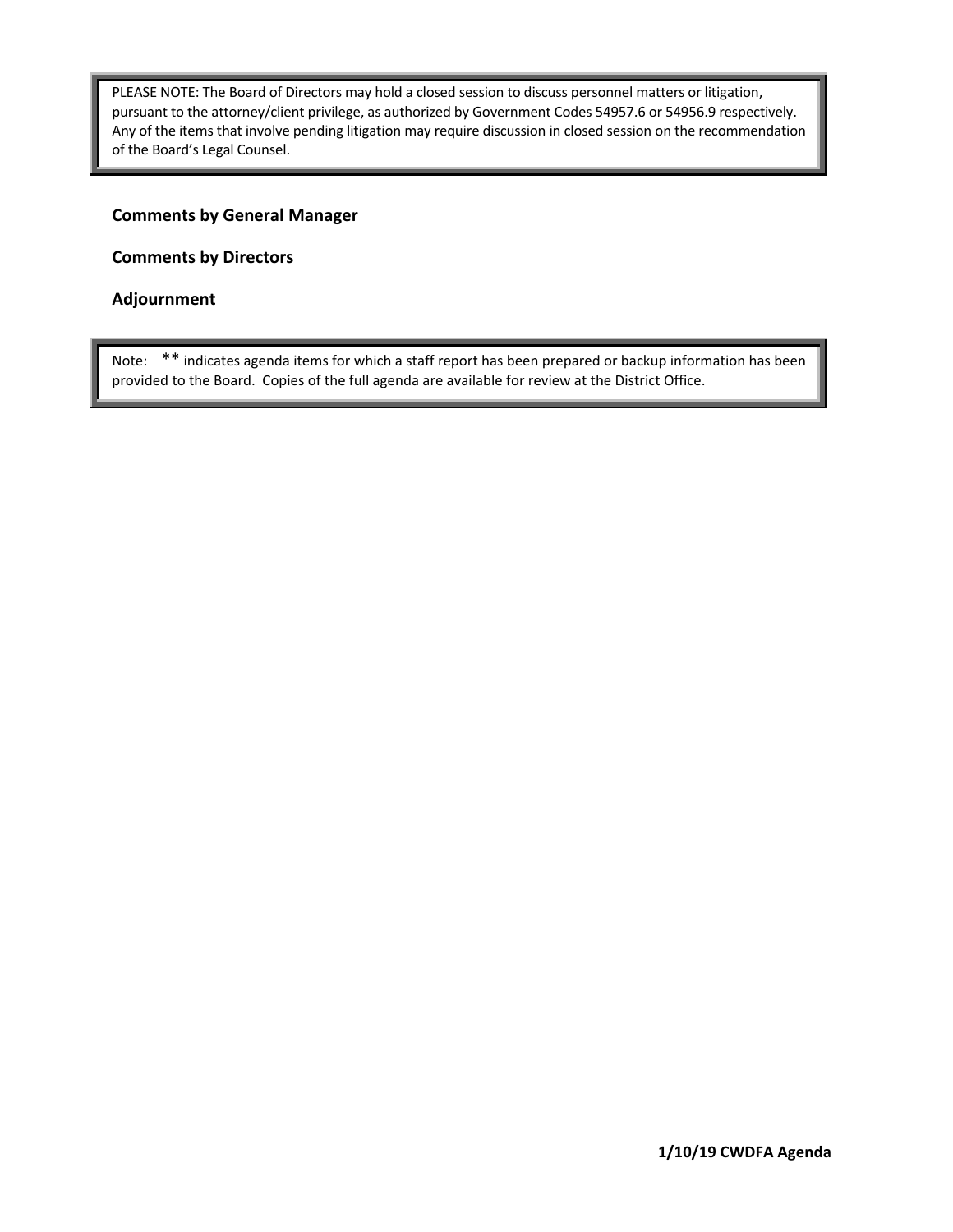PLEASE NOTE: The Board of Directors may hold a closed session to discuss personnel matters or litigation, pursuant to the attorney/client privilege, as authorized by Government Codes 54957.6 or 54956.9 respectively. Any of the items that involve pending litigation may require discussion in closed session on the recommendation of the Board's Legal Counsel.

#### **Comments by General Manager**

**Comments by Directors**

#### **Adjournment**

Note: \*\* indicates agenda items for which a staff report has been prepared or backup information has been provided to the Board. Copies of the full agenda are available for review at the District Office.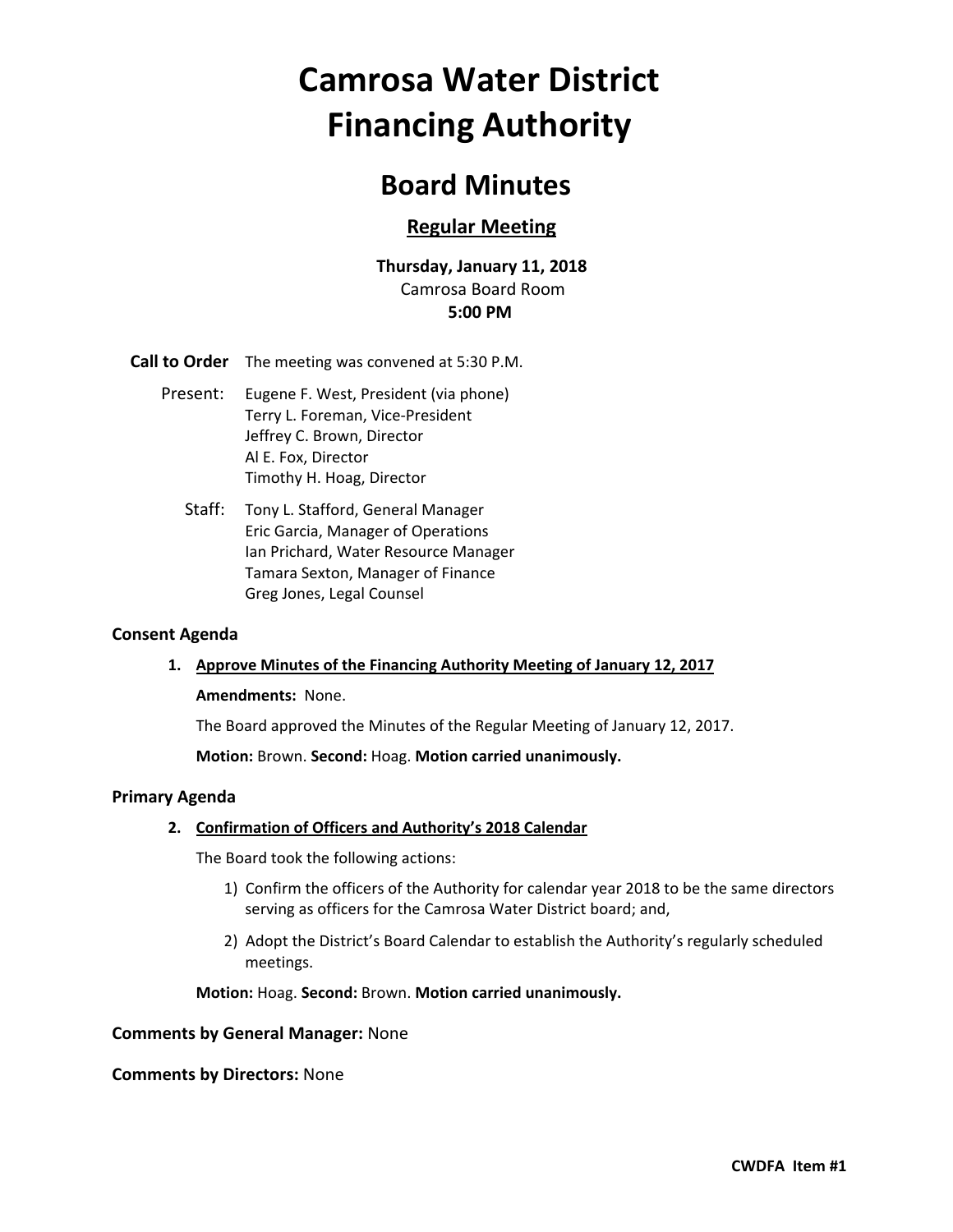# **Camrosa Water District Financing Authority**

### **Board Minutes**

#### **Regular Meeting**

#### **Thursday, January 11, 2018** Camrosa Board Room **5:00 PM**

**Call to Order** The meeting was convened at 5:30 P.M.

- Present: Eugene F. West, President (via phone) Terry L. Foreman, Vice‐President Jeffrey C. Brown, Director Al E. Fox, Director Timothy H. Hoag, Director
	- Staff: Tony L. Stafford, General Manager Eric Garcia, Manager of Operations Ian Prichard, Water Resource Manager Tamara Sexton, Manager of Finance Greg Jones, Legal Counsel

#### **Consent Agenda**

#### **1. Approve Minutes of the Financing Authority Meeting of January 12, 2017**

#### **Amendments: None.**

The Board approved the Minutes of the Regular Meeting of January 12, 2017.

**Motion:** Brown. **Second:** Hoag. **Motion carried unanimously.**

#### **Primary Agenda**

#### **2. Confirmation of Officers and Authority's 2018 Calendar**

The Board took the following actions:

- 1) Confirm the officers of the Authority for calendar year 2018 to be the same directors serving as officers for the Camrosa Water District board; and,
- 2) Adopt the District's Board Calendar to establish the Authority's regularly scheduled meetings.

**Motion:** Hoag. **Second:** Brown. **Motion carried unanimously.**

#### **Comments by General Manager:** None

#### **Comments by Directors:** None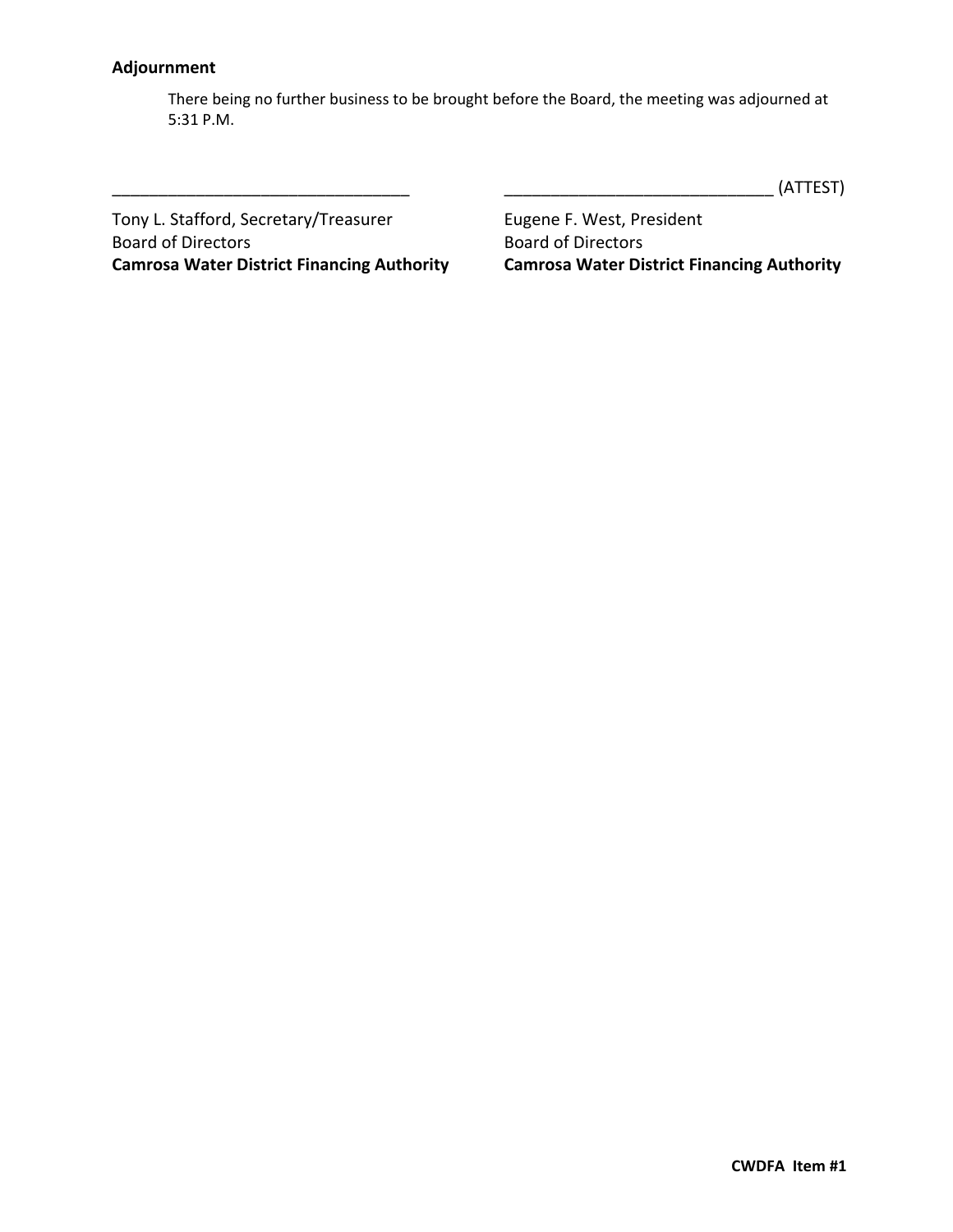#### **Adjournment**

There being no further business to be brought before the Board, the meeting was adjourned at 5:31 P.M.

\_\_\_\_\_\_\_\_\_\_\_\_\_\_\_\_\_\_\_\_\_\_\_\_\_\_\_\_\_\_\_\_ \_\_\_\_\_\_\_\_\_\_\_\_\_\_\_\_\_\_\_\_\_\_\_\_\_\_\_\_\_ (ATTEST)

Tony L. Stafford, Secretary/Treasurer **Eugene F. West, President Camrosa Water District Financing Authority Camrosa Water District Financing Authority**

Board of Directors<br>
Camrosa Water District Financing Authority<br>
Camrosa Water District Financing Authority<br>
Camrosa Water District Financing Authority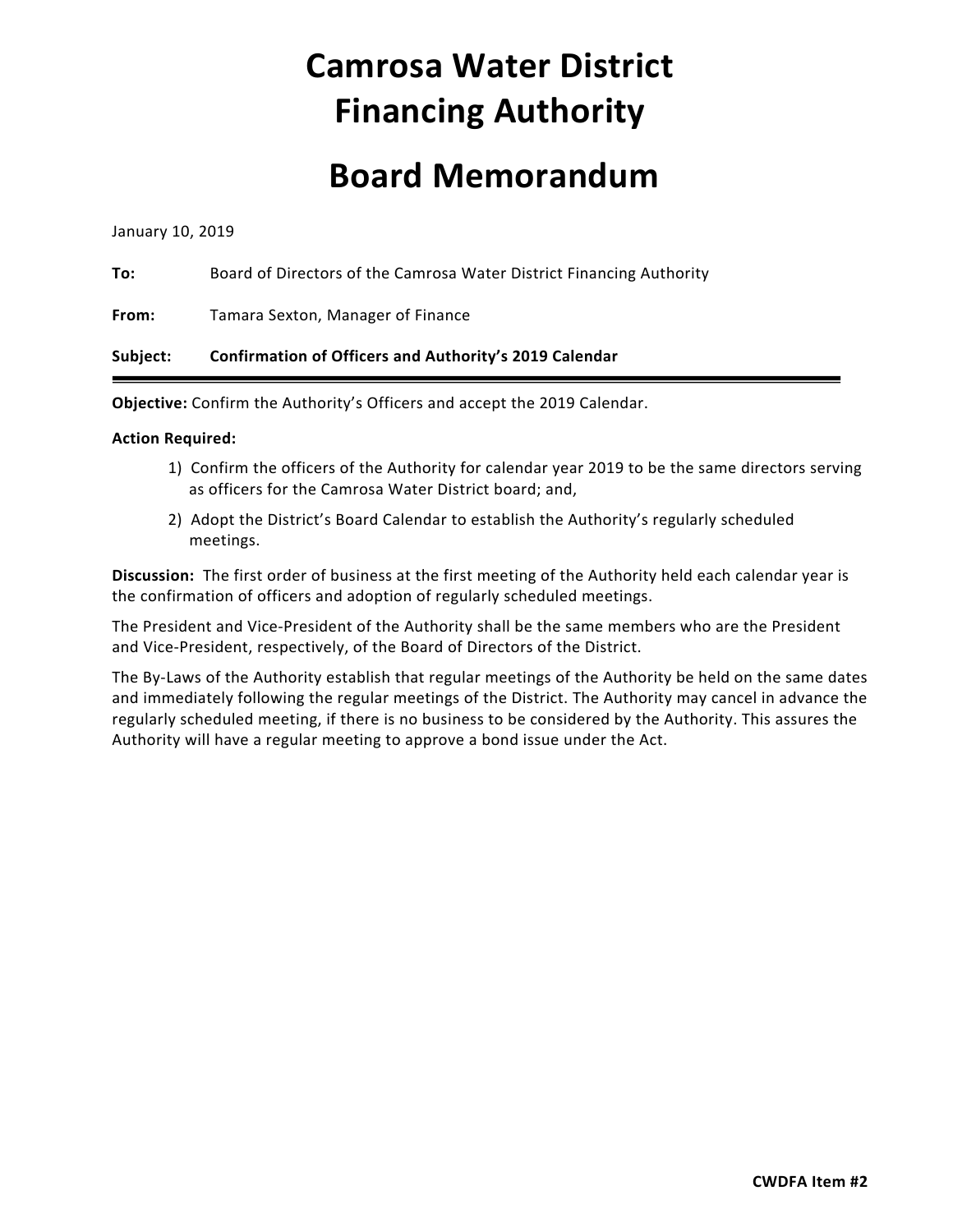# **Camrosa Water District Financing Authority**

### **Board Memorandum**

January 10, 2019

**To:** Board of Directors of the Camrosa Water District Financing Authority

**From:** Tamara Sexton, Manager of Finance

#### **Subject: Confirmation of Officers and Authority's 2019 Calendar**

**Objective:** Confirm the Authority's Officers and accept the 2019 Calendar.

#### **Action Required:**

- 1) Confirm the officers of the Authority for calendar year 2019 to be the same directors serving as officers for the Camrosa Water District board; and,
- 2) Adopt the District's Board Calendar to establish the Authority's regularly scheduled meetings.

**Discussion:** The first order of business at the first meeting of the Authority held each calendar year is the confirmation of officers and adoption of regularly scheduled meetings.

The President and Vice‐President of the Authority shall be the same members who are the President and Vice‐President, respectively, of the Board of Directors of the District.

The By-Laws of the Authority establish that regular meetings of the Authority be held on the same dates and immediately following the regular meetings of the District. The Authority may cancel in advance the regularly scheduled meeting, if there is no business to be considered by the Authority. This assures the Authority will have a regular meeting to approve a bond issue under the Act.